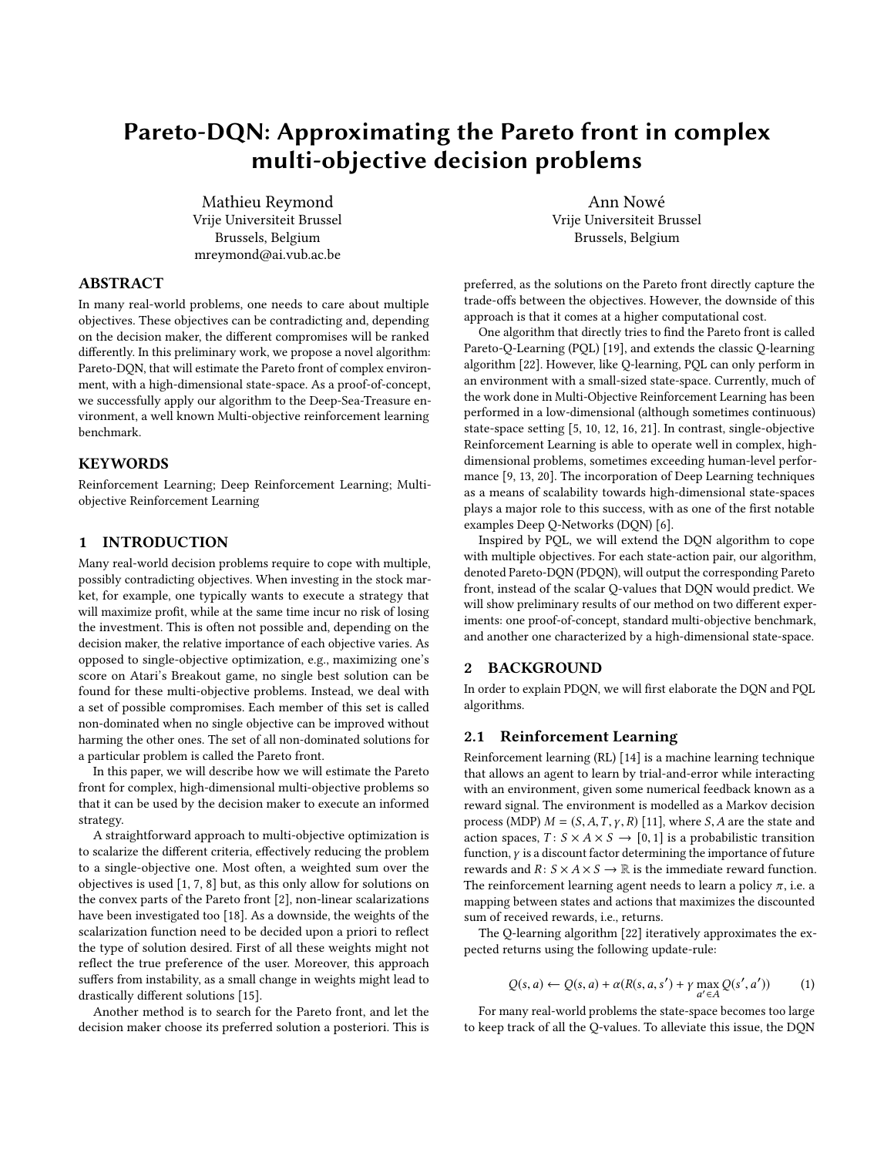# Pareto-DQN: Approximating the Pareto front in complex multi-objective decision problems

Mathieu Reymond Vrije Universiteit Brussel Brussels, Belgium mreymond@ai.vub.ac.be

#### ABSTRACT

In many real-world problems, one needs to care about multiple objectives. These objectives can be contradicting and, depending on the decision maker, the different compromises will be ranked differently. In this preliminary work, we propose a novel algorithm: Pareto-DQN, that will estimate the Pareto front of complex environment, with a high-dimensional state-space. As a proof-of-concept, we successfully apply our algorithm to the Deep-Sea-Treasure environment, a well known Multi-objective reinforcement learning benchmark.

#### **KEYWORDS**

Reinforcement Learning; Deep Reinforcement Learning; Multiobjective Reinforcement Learning

#### 1 INTRODUCTION

Many real-world decision problems require to cope with multiple, possibly contradicting objectives. When investing in the stock market, for example, one typically wants to execute a strategy that will maximize profit, while at the same time incur no risk of losing the investment. This is often not possible and, depending on the decision maker, the relative importance of each objective varies. As opposed to single-objective optimization, e.g., maximizing one's score on Atari's Breakout game, no single best solution can be found for these multi-objective problems. Instead, we deal with a set of possible compromises. Each member of this set is called non-dominated when no single objective can be improved without harming the other ones. The set of all non-dominated solutions for a particular problem is called the Pareto front.

In this paper, we will describe how we will estimate the Pareto front for complex, high-dimensional multi-objective problems so that it can be used by the decision maker to execute an informed strategy.

A straightforward approach to multi-objective optimization is to scalarize the different criteria, effectively reducing the problem to a single-objective one. Most often, a weighted sum over the objectives is used [\[1,](#page-5-0) [7,](#page-5-1) [8\]](#page-5-2) but, as this only allow for solutions on the convex parts of the Pareto front [\[2\]](#page-5-3), non-linear scalarizations have been investigated too [\[18\]](#page-5-4). As a downside, the weights of the scalarization function need to be decided upon a priori to reflect the type of solution desired. First of all these weights might not reflect the true preference of the user. Moreover, this approach suffers from instability, as a small change in weights might lead to drastically different solutions [\[15\]](#page-5-5).

Another method is to search for the Pareto front, and let the decision maker choose its preferred solution a posteriori. This is

Ann Nowé Vrije Universiteit Brussel Brussels, Belgium

preferred, as the solutions on the Pareto front directly capture the trade-offs between the objectives. However, the downside of this approach is that it comes at a higher computational cost.

One algorithm that directly tries to find the Pareto front is called Pareto-Q-Learning (PQL) [\[19\]](#page-5-6), and extends the classic Q-learning algorithm [\[22\]](#page-5-7). However, like Q-learning, PQL can only perform in an environment with a small-sized state-space. Currently, much of the work done in Multi-Objective Reinforcement Learning has been performed in a low-dimensional (although sometimes continuous) state-space setting [\[5,](#page-5-8) [10,](#page-5-9) [12,](#page-5-10) [16,](#page-5-11) [21\]](#page-5-12). In contrast, single-objective Reinforcement Learning is able to operate well in complex, highdimensional problems, sometimes exceeding human-level performance [\[9,](#page-5-13) [13,](#page-5-14) [20\]](#page-5-15). The incorporation of Deep Learning techniques as a means of scalability towards high-dimensional state-spaces plays a major role to this success, with as one of the first notable examples Deep Q-Networks (DQN) [\[6\]](#page-5-16).

Inspired by PQL, we will extend the DQN algorithm to cope with multiple objectives. For each state-action pair, our algorithm, denoted Pareto-DQN (PDQN), will output the corresponding Pareto front, instead of the scalar Q-values that DQN would predict. We will show preliminary results of our method on two different experiments: one proof-of-concept, standard multi-objective benchmark, and another one characterized by a high-dimensional state-space.

# 2 BACKGROUND

In order to explain PDQN, we will first elaborate the DQN and PQL algorithms.

## 2.1 Reinforcement Learning

Reinforcement learning (RL) [\[14\]](#page-5-17) is a machine learning technique that allows an agent to learn by trial-and-error while interacting with an environment, given some numerical feedback known as a reward signal. The environment is modelled as a Markov decision process (MDP)  $M = (S, A, T, \gamma, R)$  [\[11\]](#page-5-18), where S, A are the state and action spaces,  $T: S \times A \times S \rightarrow [0, 1]$  is a probabilistic transition function,  $\gamma$  is a discount factor determining the importance of future rewards and  $R: S \times A \times S \rightarrow \mathbb{R}$  is the immediate reward function. The reinforcement learning agent needs to learn a policy  $\pi$ , i.e. a mapping between states and actions that maximizes the discounted sum of received rewards, i.e., returns.

The Q-learning algorithm [\[22\]](#page-5-7) iteratively approximates the expected returns using the following update-rule:

$$
Q(s, a) \leftarrow Q(s, a) + \alpha(R(s, a, s') + \gamma \max_{a' \in A} Q(s', a')) \tag{1}
$$

For many real-world problems the state-space becomes too large to keep track of all the Q-values. To alleviate this issue, the DQN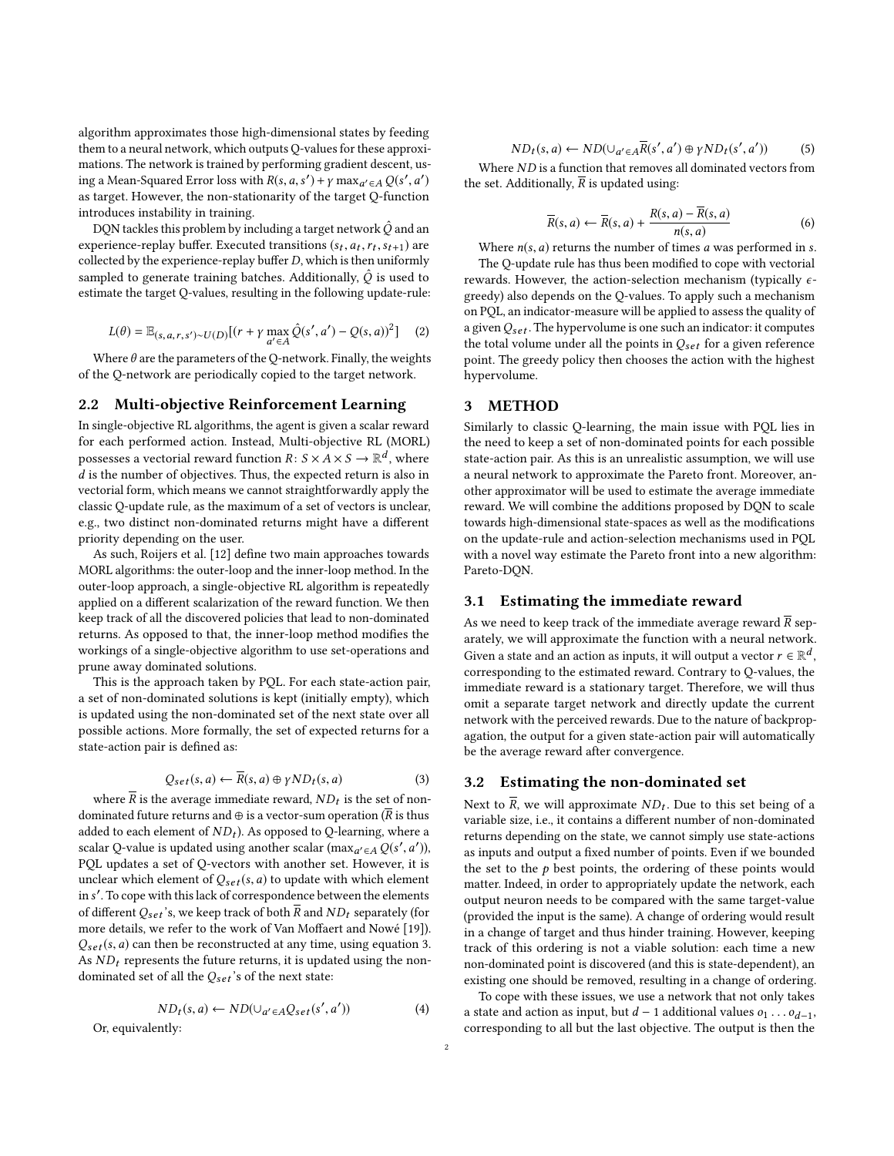algorithm approximates those high-dimensional states by feeding them to a neural network, which outputs Q-values for these approximations. The network is trained by performing gradient descent, using a Mean-Squared Error loss with  $R(s, a, s') + \gamma \max_{a' \in A} Q(s', a')$ as target. However, the non-stationarity of the target Q-function introduces instability in training.

DQN tackles this problem by including a target network  $\hat{Q}$  and an experience-replay buffer. Executed transitions  $(s_t, a_t, r_t, s_{t+1})$  are<br>collected by the experience-replay buffer D, which is then uniformly collected by the experience-replay buffer  $D$ , which is then uniformly sampled to generate training batches. Additionally,  $\hat{Q}$  is used to estimate the target Q-values, resulting in the following update-rule:

$$
L(\theta) = \mathbb{E}_{(s, a, r, s') \sim U(D)}[(r + \gamma \max_{a' \in A} \hat{Q}(s', a') - Q(s, a))^2]
$$
 (2)

Where  $\theta$  are the parameters of the O-network. Finally, the weights of the Q-network are periodically copied to the target network.

### 2.2 Multi-objective Reinforcement Learning

In single-objective RL algorithms, the agent is given a scalar reward for each performed action. Instead, Multi-objective RL (MORL) possesses a vectorial reward function  $R: S \times A \times S \rightarrow \mathbb{R}^d$ , where d is the number of objectives. Thus, the expected return is also in  $d$  is the number of objectives. Thus, the expected return is also in vectorial form, which means we cannot straightforwardly apply the classic Q-update rule, as the maximum of a set of vectors is unclear, e.g., two distinct non-dominated returns might have a different priority depending on the user.

As such, Roijers et al. [\[12\]](#page-5-10) define two main approaches towards MORL algorithms: the outer-loop and the inner-loop method. In the outer-loop approach, a single-objective RL algorithm is repeatedly applied on a different scalarization of the reward function. We then keep track of all the discovered policies that lead to non-dominated returns. As opposed to that, the inner-loop method modifies the workings of a single-objective algorithm to use set-operations and prune away dominated solutions.

This is the approach taken by PQL. For each state-action pair, a set of non-dominated solutions is kept (initially empty), which is updated using the non-dominated set of the next state over all possible actions. More formally, the set of expected returns for a state-action pair is defined as:

<span id="page-1-0"></span>
$$
Q_{set}(s, a) \leftarrow \overline{R}(s, a) \oplus \gamma ND_t(s, a)
$$
\n(3)

where R is the average immediate reward,  $ND_t$  is the set of non-<br>minoted future returns and  $\oplus$  is a vector sum aparation ( $\overline{P}$  is thus dominated future returns and  $\oplus$  is a vector-sum operation ( $\overline{R}$  is thus added to each element of  $ND_t$ ). As opposed to Q-learning, where a<br>scalar O-value is undated using another scalar (max , , , O(s', a')) scalar Q-value is updated using another scalar  $(\max_{a' \in A} Q(s', a'))$ ,<br>POL updates a set of Q-vectors with another set However, it is PQL updates a set of Q-vectors with another set. However, it is unclear which element of  $Q_{set}(s, a)$  to update with which element in s'. To cope with this lack of correspondence between the elements<br>of different  $Q_2$  is we keen treat of both  $\overline{R}$  and  $ND$ , congrately (for of different  $Q_{set}$ 's, we keep track of both  $\overline{R}$  and  $ND_t$  separately (for more details, we refer to the work of Van Moffaert and Nowé [\[19\]](#page-5-6)).  $Q_{set}(s, a)$  can then be reconstructed at any time, using equation [3.](#page-1-0) As  $ND_t$  represents the future returns, it is updated using the nondominated set of all the  $Q_{\mathit{set}}$  's of the next state:

$$
ND_t(s, a) \leftarrow ND(\cup_{a' \in A} Q_{set}(s', a')) \tag{4}
$$

Or, equivalently:

 $ND_t(s, a) \leftarrow ND(\cup_{a' \in A} \overline{R}(s', a') \oplus \gamma ND_t(s', a')$  $(5)$ 

Where ND is a function that removes all dominated vectors from the set. Additionally,  $\overline{R}$  is updated using:

$$
\overline{R}(s, a) \leftarrow \overline{R}(s, a) + \frac{R(s, a) - \overline{R}(s, a)}{n(s, a)}
$$
\n(6)

\nreturn the number of times a was performed in s.

Where  $n(s, a)$  returns the number of times  $a$  was performed in s.<br>The Q-undate rule has thus been modified to cone with vectorial The Q-update rule has thus been modified to cope with vectorial

rewards. However, the action-selection mechanism (typically  $\epsilon$ greedy) also depends on the Q-values. To apply such a mechanism on PQL, an indicator-measure will be applied to assess the quality of a given  $Q_{set}$ . The hypervolume is one such an indicator: it computes the total volume under all the points in  $Q_{set}$  for a given reference point. The greedy policy then chooses the action with the highest hypervolume.

#### 3 METHOD

Similarly to classic Q-learning, the main issue with PQL lies in the need to keep a set of non-dominated points for each possible state-action pair. As this is an unrealistic assumption, we will use a neural network to approximate the Pareto front. Moreover, another approximator will be used to estimate the average immediate reward. We will combine the additions proposed by DQN to scale towards high-dimensional state-spaces as well as the modifications on the update-rule and action-selection mechanisms used in PQL with a novel way estimate the Pareto front into a new algorithm: Pareto-DQN.

#### 3.1 Estimating the immediate reward

As we need to keep track of the immediate average reward  $\overline{R}$  separately, we will approximate the function with a neural network. Given a state and an action as inputs, it will output a vector  $r \in \mathbb{R}^d$ , corresponding to the estimated reward. Contrary to O-values, the corresponding to the estimated reward. Contrary to Q-values, the immediate reward is a stationary target. Therefore, we will thus omit a separate target network and directly update the current network with the perceived rewards. Due to the nature of backpropagation, the output for a given state-action pair will automatically be the average reward after convergence.

### 3.2 Estimating the non-dominated set

Next to R, we will approximate  $ND_t$ . Due to this set being of a<br>variable size i.e., it contains a different number of non-dominated variable size, i.e., it contains a different number of non-dominated returns depending on the state, we cannot simply use state-actions as inputs and output a fixed number of points. Even if we bounded the set to the  $p$  best points, the ordering of these points would matter. Indeed, in order to appropriately update the network, each output neuron needs to be compared with the same target-value (provided the input is the same). A change of ordering would result in a change of target and thus hinder training. However, keeping track of this ordering is not a viable solution: each time a new non-dominated point is discovered (and this is state-dependent), an existing one should be removed, resulting in a change of ordering.

To cope with these issues, we use a network that not only takes a state and action as input, but  $d - 1$  additional values  $o_1 \dots o_{d-1}$ ,<br>corresponding to all but the last objective. The output is then the corresponding to all but the last objective. The output is then the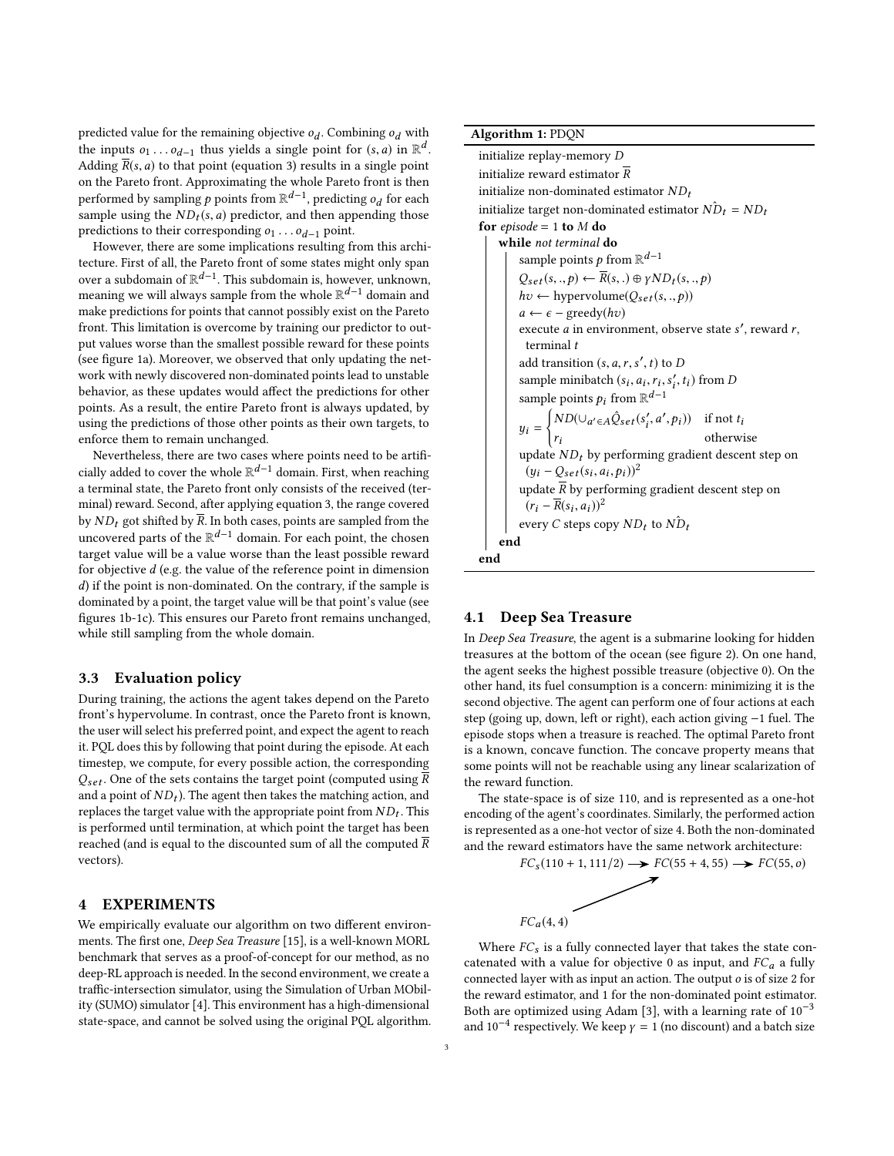predicted value for the remaining objective  $o_d$ . Combining  $o_d$  with<br>the inputs  $o_d$  of the violds a single point for  $(c, a)$  in  $\mathbb{R}^d$ the inputs  $o_1 \tldots o_{d-1}$  thus yields a single point for  $(s, a)$  in  $\mathbb{R}^d$ .<br>Adding  $\overline{p}(s, a)$  to that point (countion 3) results in a single point. Adding  $\overline{R}(s, a)$  to that point (equation [3\)](#page-1-0) results in a single point on the Pareto front. Approximating the whole Pareto front is then performed by sampling p points from  $\mathbb{R}^{d-1}$ , predicting  $o_d$  for each sample using the  $ND(G, g)$  predictor, and then appending those sample using the  $ND_t(s, a)$  predictor, and then appending those predictions to their corresponding  $o_1 \dots o_{d-1}$  point.

However, there are some implications resulting from this architecture. First of all, the Pareto front of some states might only span over a subdomain of  $\mathbb{R}^{d-1}$ . This subdomain is, however, unknown, meaning we will always sample from the whole  $\mathbb{R}^{d-1}$  domain and make predictions for points that cannot possibly exist on the Pareto front. This limitation is overcome by training our predictor to output values worse than the smallest possible reward for these points (see figure [1a\)](#page-3-0). Moreover, we observed that only updating the network with newly discovered non-dominated points lead to unstable behavior, as these updates would affect the predictions for other points. As a result, the entire Pareto front is always updated, by using the predictions of those other points as their own targets, to enforce them to remain unchanged.

Nevertheless, there are two cases where points need to be artificially added to cover the whole  $\mathbb{R}^{d-1}$  domain. First, when reaching a terminal state, the Pareto front only consists of the received (terminal) reward. Second, after applying equation [3,](#page-1-0) the range covered by  $ND_t$  got shifted by  $\overline{R}$ . In both cases, points are sampled from the uncovered parts of the  $\mathbb{R}^{d-1}$  domain. For each point, the chosen target value will be a value worse than the least possible reward for objective d (e.g. the value of the reference point in dimension d) if the point is non-dominated. On the contrary, if the sample is dominated by a point, the target value will be that point's value (see figures [1b-1c\)](#page-3-0). This ensures our Pareto front remains unchanged, while still sampling from the whole domain.

## 3.3 Evaluation policy

During training, the actions the agent takes depend on the Pareto front's hypervolume. In contrast, once the Pareto front is known, the user will select his preferred point, and expect the agent to reach it. PQL does this by following that point during the episode. At each timestep, we compute, for every possible action, the corresponding  $Q_{set}$ . One of the sets contains the target point (computed using  $\overline{R}$ and a point of  $ND_t$ ). The agent then takes the matching action, and replaces the target value with the appropriate point from  $ND_t$ . This replaces the target value with the appropriate point from  $ND_t$ . This<br>is performed until termination, at which point the target has been is performed until termination, at which point the target has been reached (and is equal to the discounted sum of all the computed  $\overline{R}$ vectors).

# 4 EXPERIMENTS

We empirically evaluate our algorithm on two different environments. The first one, Deep Sea Treasure [\[15\]](#page-5-5), is a well-known MORL benchmark that serves as a proof-of-concept for our method, as no deep-RL approach is needed. In the second environment, we create a traffic-intersection simulator, using the Simulation of Urban MObility (SUMO) simulator [\[4\]](#page-5-19). This environment has a high-dimensional state-space, and cannot be solved using the original PQL algorithm.

## Algorithm 1: PDQN

initialize replay-memory D initialize reward estimator <sup>R</sup> initialize non-dominated estimator  $ND_t$ initialize target non-dominated estimator  $\hat{ND}_t = ND_t$ for  $episode = 1$  to  $M$  do while not terminal do sample points p from  $\mathbb{R}^{d-1}$  $Q_{\mathcal{S}et}(s,.,p) \leftarrow \overline{R}(s,.) \oplus \gamma ND_t(s,.,p)$  $hv \leftarrow \text{hypervolume}(Q_{set}(s,.,p))$  $a \leftarrow \epsilon$  – greedy(hv) execute *a* in environment, observe state  $s'$ , reward *r*, terminal *t* terminal t add transition  $(s, a, r, s', t)$  to D sample minibatch  $(s_i, a_i, r_i, s'_i, t_i)$  from D sample points  $p_i$  from  $\mathbb{R}^{d-1}$  $y_i =$  $\left\{ ND(\cup_{a' \in A} \hat{Q}_{set}(s'_i, a)) \right\}$  $(v', p_i)$  if not  $t_i$  $r_i$  otherwise<br> $\frac{N}{n}$  by performing gradient deceant update  $ND_t$  by performing gradient descent step on  $(y_i - Q_{set}(s_i, a_i, p_i))^2$ update  $\overline{R}$  by performing gradient descent step on  $(r_i - \overline{R}(s_i, a_i))^2$ every  $C$  steps copy  $ND_t$  to  $\hat{ND}_t$ end end

#### 4.1 Deep Sea Treasure

In Deep Sea Treasure, the agent is a submarine looking for hidden treasures at the bottom of the ocean (see figure [2\)](#page-3-1). On one hand, the agent seeks the highest possible treasure (objective 0). On the other hand, its fuel consumption is a concern: minimizing it is the second objective. The agent can perform one of four actions at each step (going up, down, left or right), each action giving −1 fuel. The episode stops when a treasure is reached. The optimal Pareto front is a known, concave function. The concave property means that some points will not be reachable using any linear scalarization of the reward function.

The state-space is of size 110, and is represented as a one-hot encoding of the agent's coordinates. Similarly, the performed action is represented as a one-hot vector of size 4. Both the non-dominated and the reward estimators have the same network architecture:



Where  $FC_s$  is a fully connected layer that takes the state concatenated with a value for objective 0 as input, and  $FC_a$  a fully connected layer with as input an action. The output o is of size <sup>2</sup> for the reward estimator, and 1 for the non-dominated point estimator. Both are optimized using Adam [\[3\]](#page-5-20), with a learning rate of 10−<sup>3</sup> and  $10^{-4}$  respectively. We keep  $\gamma = 1$  (no discount) and a batch size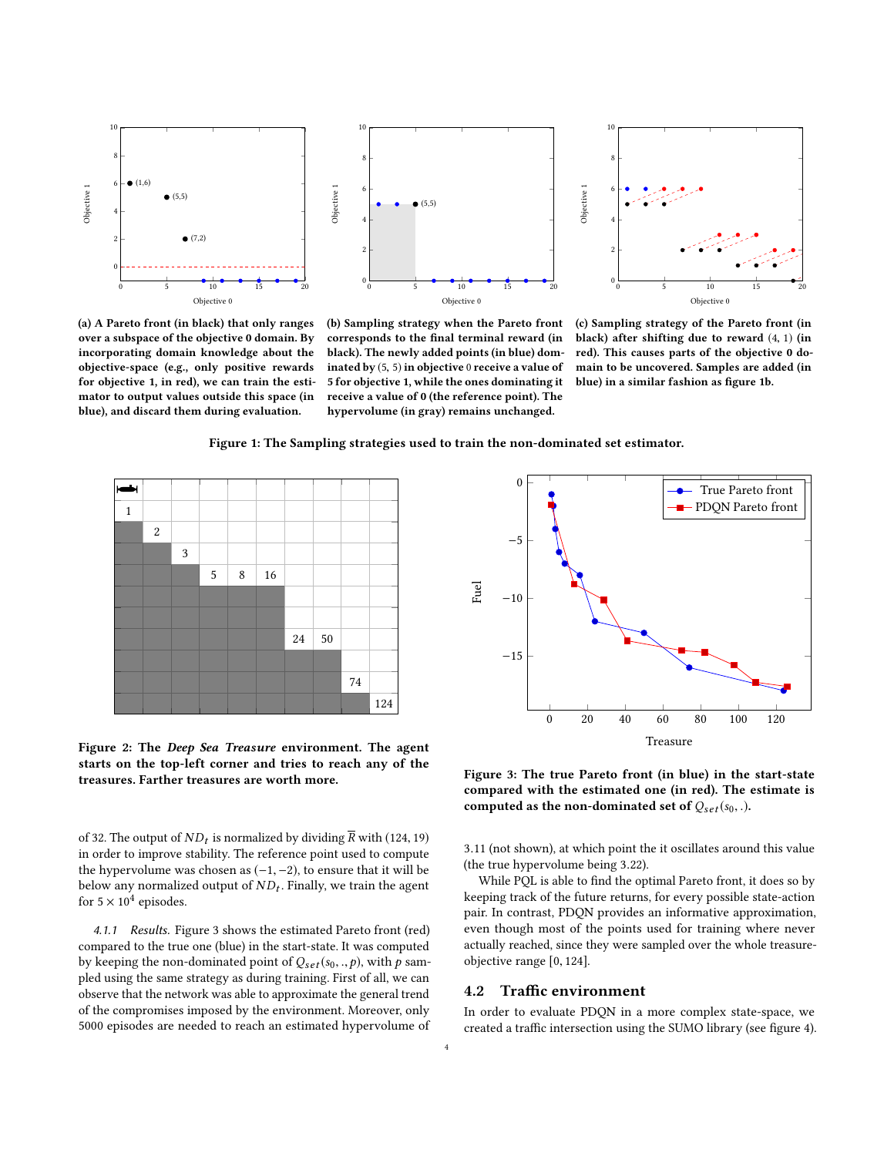<span id="page-3-0"></span>

(a) A Pareto front (in black) that only ranges over a subspace of the objective 0 domain. By incorporating domain knowledge about the objective-space (e.g., only positive rewards for objective 1, in red), we can train the estimator to output values outside this space (in blue), and discard them during evaluation.

(b) Sampling strategy when the Pareto front corresponds to the final terminal reward (in black). The newly added points (in blue) dominated by (5, <sup>5</sup>) in objective <sup>0</sup> receive a value of 5 for objective 1, while the ones dominating it receive a value of 0 (the reference point). The hypervolume (in gray) remains unchanged.

(c) Sampling strategy of the Pareto front (in black) after shifting due to reward (4, <sup>1</sup>) (in red). This causes parts of the objective 0 domain to be uncovered. Samples are added (in blue) in a similar fashion as figure [1b.](#page-3-0)



<span id="page-3-1"></span>

Figure 2: The Deep Sea Treasure environment. The agent starts on the top-left corner and tries to reach any of the treasures. Farther treasures are worth more.

of 32. The output of  $ND_t$  is normalized by dividing  $\overline{R}$  with (124, 19) in order to improve stability. The reference point used to compute in order to improve stability. The reference point used to compute the hypervolume was chosen as  $(-1, -2)$ , to ensure that it will be below any normalized output of  $ND_t$ . Finally, we train the agent for  $5 \times 10^4$  episodes for  $5 \times 10^4$  episodes.

4.1.1 Results. Figure [3](#page-3-2) shows the estimated Pareto front (red) compared to the true one (blue) in the start-state. It was computed by keeping the non-dominated point of  $Q_{\text{set}}(s_0,.,p)$ , with p sampled using the same strategy as during training. First of all, we can observe that the network was able to approximate the general trend of the compromises imposed by the environment. Moreover, only 5000 episodes are needed to reach an estimated hypervolume of

<span id="page-3-2"></span>

Figure 3: The true Pareto front (in blue) in the start-state compared with the estimated one (in red). The estimate is computed as the non-dominated set of  $Q_{set}(s_0, ...)$ .

<sup>3</sup>.<sup>11</sup> (not shown), at which point the it oscillates around this value (the true hypervolume being <sup>3</sup>.22).

While PQL is able to find the optimal Pareto front, it does so by keeping track of the future returns, for every possible state-action pair. In contrast, PDQN provides an informative approximation, even though most of the points used for training where never actually reached, since they were sampled over the whole treasureobjective range [0, <sup>124</sup>].

# 4.2 Traffic environment

In order to evaluate PDQN in a more complex state-space, we created a traffic intersection using the SUMO library (see figure [4\)](#page-4-0).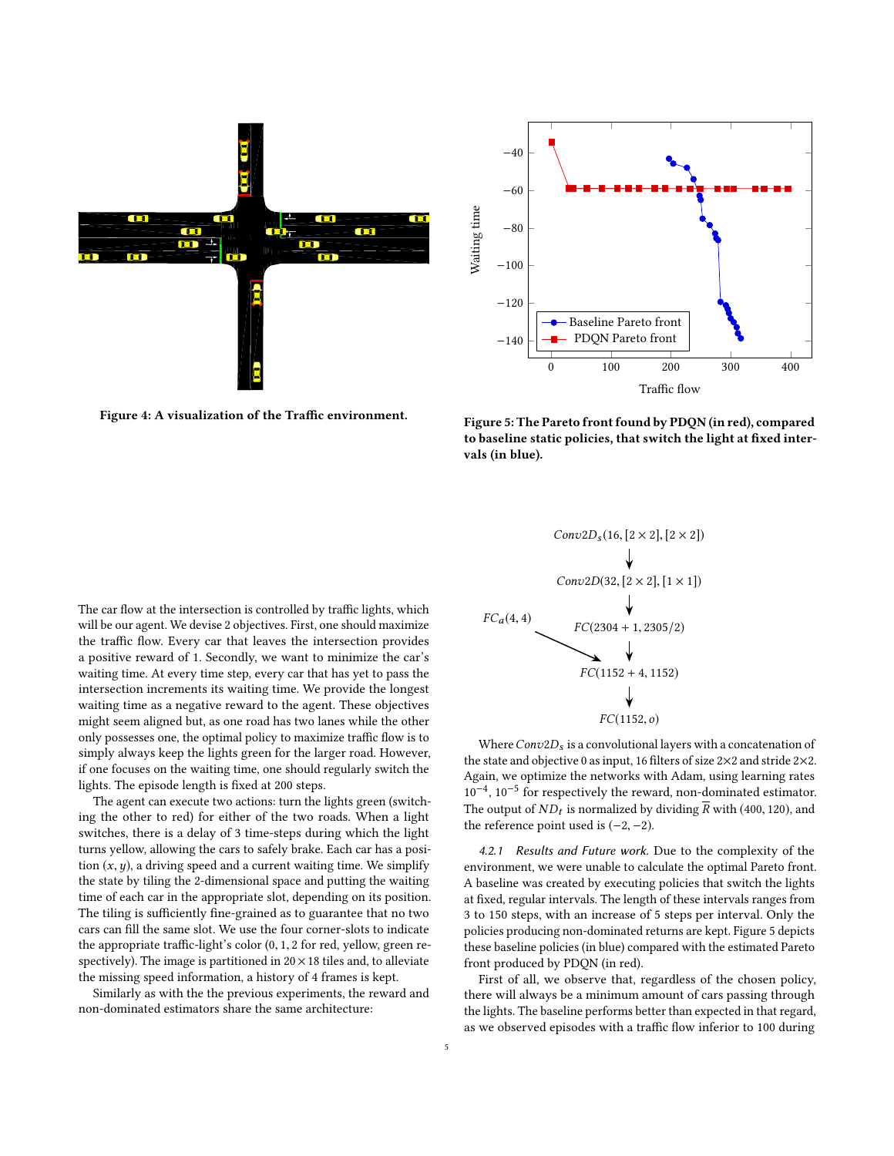<span id="page-4-0"></span>

Figure 4: A visualization of the Traffic environment.

<span id="page-4-1"></span>

Figure 5: The Pareto front found by PDQN (in red), compared to baseline static policies, that switch the light at fixed intervals (in blue).

The car flow at the intersection is controlled by traffic lights, which will be our agent. We devise 2 objectives. First, one should maximize the traffic flow. Every car that leaves the intersection provides a positive reward of 1. Secondly, we want to minimize the car's waiting time. At every time step, every car that has yet to pass the intersection increments its waiting time. We provide the longest waiting time as a negative reward to the agent. These objectives might seem aligned but, as one road has two lanes while the other only possesses one, the optimal policy to maximize traffic flow is to simply always keep the lights green for the larger road. However, if one focuses on the waiting time, one should regularly switch the lights. The episode length is fixed at 200 steps.

The agent can execute two actions: turn the lights green (switching the other to red) for either of the two roads. When a light switches, there is a delay of 3 time-steps during which the light turns yellow, allowing the cars to safely brake. Each car has a position  $(x, y)$ , a driving speed and a current waiting time. We simplify the state by tiling the 2-dimensional space and putting the waiting time of each car in the appropriate slot, depending on its position. The tiling is sufficiently fine-grained as to guarantee that no two cars can fill the same slot. We use the four corner-slots to indicate the appropriate traffic-light's color (0, <sup>1</sup>, <sup>2</sup> for red, yellow, green respectively). The image is partitioned in  $20 \times 18$  tiles and, to alleviate the missing speed information, a history of 4 frames is kept.

Similarly as with the the previous experiments, the reward and non-dominated estimators share the same architecture:

$$
Conv2Ds(16, [2 \times 2], [2 \times 2])
$$
\n
$$
\downarrow
$$
\n
$$
Conv2D(32, [2 \times 2], [1 \times 1])
$$
\n
$$
FCa(4, 4)
$$
\n
$$
FC(2304 + 1, 2305/2)
$$
\n
$$
FC(1152 + 4, 1152)
$$
\n
$$
FC(1152, 0)
$$

Where  $Conv2D_s$  is a convolutional layers with a concatenation of the state and objective 0 as input, 16 filters of size  $2\times 2$  and stride  $2\times 2$ . Again, we optimize the networks with Adam, using learning rates 10−<sup>4</sup> , 10−<sup>5</sup> for respectively the reward, non-dominated estimator. The output of  $ND_t$  is normalized by dividing  $\overline{R}$  with (400, 120), and the reference point used is (-2, -2) the reference point used is  $(-2, -2)$ .

4.2.1 Results and Future work. Due to the complexity of the environment, we were unable to calculate the optimal Pareto front. A baseline was created by executing policies that switch the lights at fixed, regular intervals. The length of these intervals ranges from 3 to 150 steps, with an increase of 5 steps per interval. Only the policies producing non-dominated returns are kept. Figure [5](#page-4-1) depicts these baseline policies (in blue) compared with the estimated Pareto front produced by PDQN (in red).

First of all, we observe that, regardless of the chosen policy, there will always be a minimum amount of cars passing through the lights. The baseline performs better than expected in that regard, as we observed episodes with a traffic flow inferior to 100 during